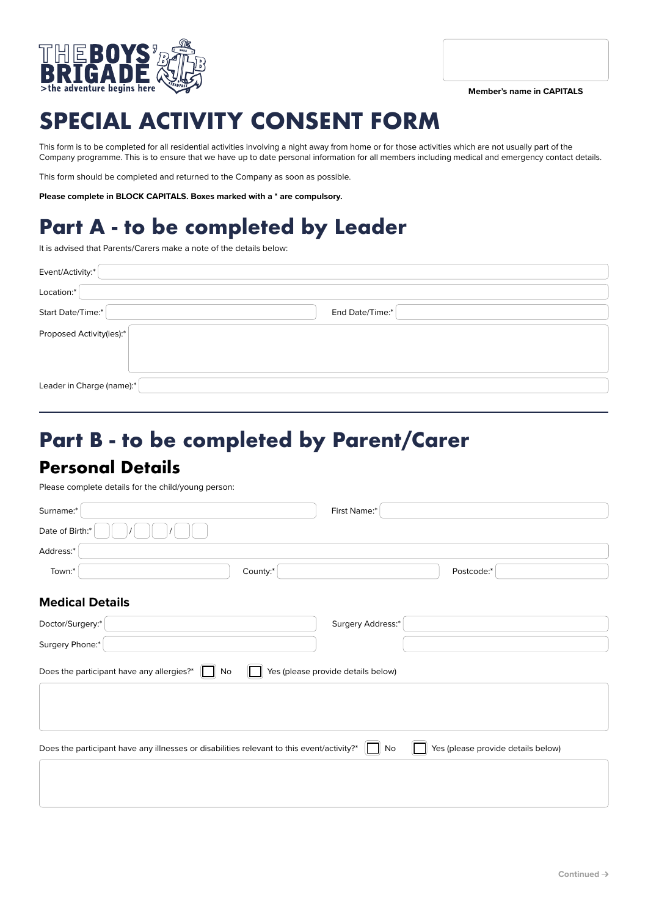



# **SPECIAL ACTIVITY CONSENT FORM**

This form is to be completed for all residential activities involving a night away from home or for those activities which are not usually part of the Company programme. This is to ensure that we have up to date personal information for all members including medical and emergency contact details.

This form should be completed and returned to the Company as soon as possible.

**Please complete in BLOCK CAPITALS. Boxes marked with a \* are compulsory.**

## **Part A - to be completed by Leader**

It is advised that Parents/Carers make a note of the details below:

| Event/Activity:*          |                 |
|---------------------------|-----------------|
| Location:*                |                 |
| Start Date/Time:*         | End Date/Time:* |
| Proposed Activity(ies):*  |                 |
| Leader in Charge (name):* |                 |

## **Part B - to be completed by Parent/Carer Personal Details**

Please complete details for the child/young person:

| Surname:*                                                                                                                                    | First Name:*                             |                                    |
|----------------------------------------------------------------------------------------------------------------------------------------------|------------------------------------------|------------------------------------|
| Date of Birth:*                                                                                                                              |                                          |                                    |
| Address:*                                                                                                                                    |                                          |                                    |
| Town:*                                                                                                                                       | County:*                                 | Postcode:*                         |
| <b>Medical Details</b>                                                                                                                       |                                          |                                    |
| Doctor/Surgery:*                                                                                                                             | Surgery Address:*                        |                                    |
| Surgery Phone:*                                                                                                                              |                                          |                                    |
| Does the participant have any allergies?*<br>No<br>Does the participant have any illnesses or disabilities relevant to this event/activity?* | Yes (please provide details below)<br>No | Yes (please provide details below) |
|                                                                                                                                              |                                          |                                    |